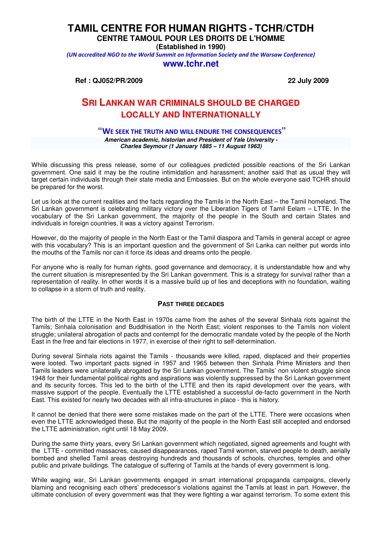# **TAMIL CENTRE FOR HUMAN RIGHTS - TCHR/CTDH**

**CENTRE TAMOUL POUR LES DROITS DE L'HOMME**

**(Established in 1990)**

(UN accredited NGO to the World Summit on Information Society and the Warsaw Conference)

### **www.tchr.net**

**Ref : QJ052/PR/2009 22 July 2009**

# **SRI LANKAN WAR CRIMINALS SHOULD BE CHARGED LOCALLY AND INTERNATIONALLY**

# **"**WE SEEK THE TRUTH AND WILL ENDURE THE CONSEQUENCES**"**

**American academic, historian and President of Yale University - Charles Seymour (1 January 1885 – 11 August 1963)** 

While discussing this press release, some of our colleagues predicted possible reactions of the Sri Lankan government. One said it may be the routine intimidation and harassment; another said that as usual they will target certain individuals through their state media and Embassies. But on the whole everyone said TCHR should be prepared for the worst.

Let us look at the current realities and the facts regarding the Tamils in the North East – the Tamil homeland. The Sri Lankan government is celebrating military victory over the Liberation Tigers of Tamil Eelam – LTTE. In the vocabulary of the Sri Lankan government, the majority of the people in the South and certain States and individuals in foreign countries, it was a victory against Terrorism.

However, do the majority of people in the North East or the Tamil diaspora and Tamils in general accept or agree with this vocabulary? This is an important question and the government of Sri Lanka can neither put words into the mouths of the Tamils nor can it force its ideas and dreams onto the people.

For anyone who is really for human rights, good governance and democracy, it is understandable how and why the current situation is misrepresented by the Sri Lankan government. This is a strategy for survival rather than a representation of reality. In other words it is a massive build up of lies and deceptions with no foundation, waiting to collapse in a storm of truth and reality.

## **PAST THREE DECADES**

The birth of the LTTE in the North East in 1970s came from the ashes of the several Sinhala riots against the Tamils; Sinhala colonisation and Buddhisation in the North East; violent responses to the Tamils non violent struggle; unilateral abrogation of pacts and contempt for the democratic mandate voted by the people of the North East in the free and fair elections in 1977, in exercise of their right to self-determination.

During several Sinhala riots against the Tamils - thousands were killed, raped, displaced and their properties were looted. Two important pacts signed in 1957 and 1965 between then Sinhala Prime Ministers and then Tamils leaders were unilaterally abrogated by the Sri Lankan government. The Tamils' non violent struggle since 1948 for their fundamental political rights and aspirations was violently suppressed by the Sri Lankan government and its security forces. This led to the birth of the LTTE and then its rapid development over the years, with massive support of the people. Eventually the LTTE established a successful de-facto government in the North East. This existed for nearly two decades with all infra-structures in place - this is history.

It cannot be denied that there were some mistakes made on the part of the LTTE. There were occasions when even the LTTE acknowledged these. But the majority of the people in the North East still accepted and endorsed the LTTE administration, right until 18 May 2009.

During the same thirty years, every Sri Lankan government which negotiated, signed agreements and fought with the LTTE - committed massacres, caused disappearances, raped Tamil women, starved people to death, aerially bombed and shelled Tamil areas destroying hundreds and thousands of schools, churches, temples and other public and private buildings. The catalogue of suffering of Tamils at the hands of every government is long.

While waging war, Sri Lankan governments engaged in smart international propaganda campaigns, cleverly blaming and recognising each others' predecessor's violations against the Tamils at least in part. However, the ultimate conclusion of every government was that they were fighting a war against terrorism. To some extent this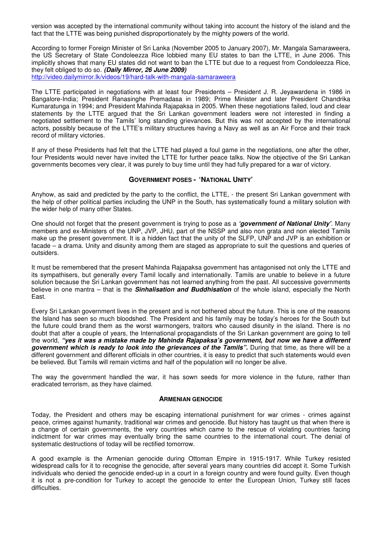version was accepted by the international community without taking into account the history of the island and the fact that the LTTE was being punished disproportionately by the mighty powers of the world.

According to former Foreign Minister of Sri Lanka (November 2005 to January 2007), Mr. Mangala Samaraweera, the US Secretary of State Condoleezza Rice lobbied many EU states to ban the LTTE, in June 2006. This implicitly shows that many EU states did not want to ban the LTTE but due to a request from Condoleezza Rice, they felt obliged to do so. **(Daily Mirror, 26 June 2009)** 

http://video.dailymirror.lk/videos/19/hard-talk-with-mangala-samaraweera

The LTTE participated in negotiations with at least four Presidents – President J. R. Jeyawardena in 1986 in Bangalore-India; President Ranasinghe Premadasa in 1989; Prime Minister and later President Chandrika Kumaratunga in 1994; and President Mahinda Rajapaksa in 2005. When these negotiations failed, loud and clear statements by the LTTE argued that the Sri Lankan government leaders were not interested in finding a negotiated settlement to the Tamils' long standing grievances. But this was not accepted by the international actors, possibly because of the LTTE's military structures having a Navy as well as an Air Force and their track record of military victories.

If any of these Presidents had felt that the LTTE had played a foul game in the negotiations, one after the other, four Presidents would never have invited the LTTE for further peace talks. Now the objective of the Sri Lankan governments becomes very clear, it was purely to buy time until they had fully prepared for a war of victory.

#### **GOVERNMENT POSES - 'NATIONAL UNITY'**

Anyhow, as said and predicted by the party to the conflict, the LTTE, - the present Sri Lankan government with the help of other political parties including the UNP in the South, has systematically found a military solution with the wider help of many other States.

One should not forget that the present government is trying to pose as a **'government of National Unity'**. Many members and ex-Ministers of the UNP, JVP, JHU, part of the NSSP and also non grata and non elected Tamils make up the present government. It is a hidden fact that the unity of the SLFP, UNP and JVP is an exhibition or facade – a drama. Unity and disunity among them are staged as appropriate to suit the questions and queries of outsiders.

It must be remembered that the present Mahinda Rajapaksa government has antagonised not only the LTTE and its sympathisers, but generally every Tamil locally and internationally. Tamils are unable to believe in a future solution because the Sri Lankan government has not learned anything from the past. All successive governments believe in one mantra – that is the **Sinhalisation and Buddhisation** of the whole island, especially the North East.

Every Sri Lankan government lives in the present and is not bothered about the future. This is one of the reasons the Island has seen so much bloodshed. The President and his family may be today's heroes for the South but the future could brand them as the worst warmongers, traitors who caused disunity in the island. There is no doubt that after a couple of years, the International propagandists of the Sri Lankan government are going to tell the world, **"yes it was a mistake made by Mahinda Rajapaksa's government, but now we have a different government which is ready to look into the grievances of the Tamils".** During that time, as there will be a different government and different officials in other countries, it is easy to predict that such statements would even be believed. But Tamils will remain victims and half of the population will no longer be alive.

The way the government handled the war, it has sown seeds for more violence in the future, rather than eradicated terrorism, as they have claimed.

#### **ARMENIAN GENOCIDE**

Today, the President and others may be escaping international punishment for war crimes - crimes against peace, crimes against humanity, traditional war crimes and genocide. But history has taught us that when there is a change of certain governments, the very countries which came to the rescue of violating countries facing indictment for war crimes may eventually bring the same countries to the international court. The denial of systematic destructions of today will be rectified tomorrow.

A good example is the Armenian genocide during Ottoman Empire in 1915-1917. While Turkey resisted widespread calls for it to recognise the genocide, after several years many countries did accept it. Some Turkish individuals who denied the genocide ended-up in a court in a foreign country and were found guilty. Even though it is not a pre-condition for Turkey to accept the genocide to enter the European Union, Turkey still faces difficulties.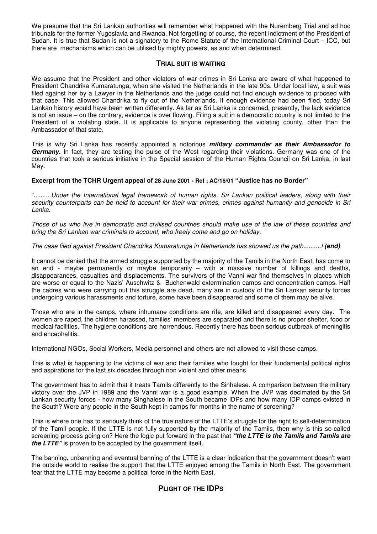We presume that the Sri Lankan authorities will remember what happened with the Nuremberg Trial and ad hoc tribunals for the former Yugoslavia and Rwanda. Not forgetting of course, the recent indictment of the President of Sudan. It is true that Sudan is not a signatory to the Rome Statute of the International Criminal Court – ICC, but there are mechanisms which can be utilised by mighty powers, as and when determined.

## **TRIAL SUIT IS WAITING**

We assume that the President and other violators of war crimes in Sri Lanka are aware of what happened to President Chandrika Kumaratunga, when she visited the Netherlands in the late 90s. Under local law, a suit was filed against her by a Lawyer in the Netherlands and the judge could not find enough evidence to proceed with that case. This allowed Chandrika to fly out of the Netherlands. If enough evidence had been filed, today Sri Lankan history would have been written differently. As far as Sri Lanka is concerned, presently, the lack evidence is not an issue – on the contrary, evidence is over flowing. Filing a suit in a democratic country is not limited to the President of a violating state. It is applicable to anyone representing the violating county, other than the Ambassador of that state.

This is why Sri Lanka has recently appointed a notorious **military commander as their Ambassador to Germany.** In fact, they are testing the pulse of the West regarding their violations. Germany was one of the countries that took a serious initiative in the Special session of the Human Rights Council on Sri Lanka, in last May.

### **Excerpt from the TCHR Urgent appeal of 28 June 2001 - Ref : AC/16/01 "Justice has no Border"**

"..........Under the International legal framework of human rights, Sri Lankan political leaders, along with their security counterparts can be held to account for their war crimes, crimes against humanity and genocide in Sri Lanka.

Those of us who live in democratic and civilised countries should make use of the law of these countries and bring the Sri Lankan war criminals to account, who freely come and go on holiday.

## The case filed against President Chandrika Kumaratunga in Netherlands has showed us the path..........! **(end)**

It cannot be denied that the armed struggle supported by the majority of the Tamils in the North East, has come to an end - maybe permanently or maybe temporarily – with a massive number of killings and deaths, disappearances, casualties and displacements. The survivors of the Vanni war find themselves in places which are worse or equal to the Nazis' Auschwitz & Buchenwald extermination camps and concentration camps. Half the cadres who were carrying out this struggle are dead, many are in custody of the Sri Lankan security forces undergoing various harassments and torture, some have been disappeared and some of them may be alive.

Those who are in the camps, where inhumane conditions are rife, are killed and disappeared every day. The women are raped, the children harassed, families' members are separated and there is no proper shelter, food or medical facilities. The hygiene conditions are horrendous. Recently there has been serious outbreak of meningitis and encephalitis.

International NGOs, Social Workers, Media personnel and others are not allowed to visit these camps.

This is what is happening to the victims of war and their families who fought for their fundamental political rights and aspirations for the last six decades through non violent and other means.

The government has to admit that it treats Tamils differently to the Sinhalese. A comparison between the military victory over the JVP in 1989 and the Vanni war is a good example. When the JVP was decimated by the Sri Lankan security forces - how many Singhalese in the South became IDPs and how many IDP camps existed in the South? Were any people in the South kept in camps for months in the name of screening?

This is where one has to seriously think of the true nature of the LTTE's struggle for the right to self-determination of the Tamil people. If the LTTE is not fully supported by the majority of the Tamils, then why is this so-called screening process going on? Here the logic put forward in the past that **"the LTTE is the Tamils and Tamils are the LTTE"** is proven to be accepted by the government itself.

The banning, unbanning and eventual banning of the LTTE is a clear indication that the government doesn't want the outside world to realise the support that the LTTE enjoyed among the Tamils in North East. The government fear that the LTTE may become a political force in the North East.

# **PLIGHT OF THE IDPS**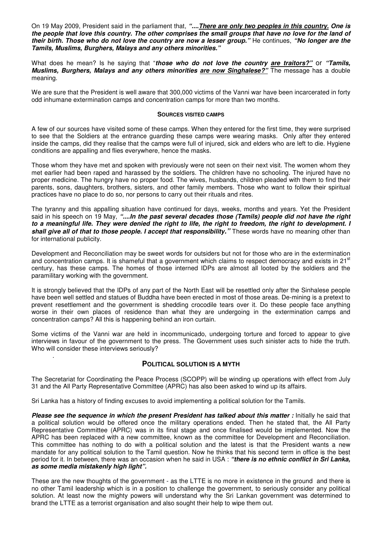On 19 May 2009, President said in the parliament that, **"....There are only two peoples in this country. One is the people that love this country. The other comprises the small groups that have no love for the land of their birth. Those who do not love the country are now a lesser group."** He continues, **"No longer are the Tamils, Muslims, Burghers, Malays and any others minorities."** 

What does he mean? Is he saying that "**those who do not love the country are traitors?"** or **"Tamils, Muslims, Burghers, Malays and any others minorities are now Singhalese?"** The message has a double meaning.

We are sure that the President is well aware that 300,000 victims of the Vanni war have been incarcerated in forty odd inhumane extermination camps and concentration camps for more than two months.

#### **SOURCES VISITED CAMPS**

A few of our sources have visited some of these camps. When they entered for the first time, they were surprised to see that the Soldiers at the entrance guarding these camps were wearing masks. Only after they entered inside the camps, did they realise that the camps were full of injured, sick and elders who are left to die. Hygiene conditions are appalling and flies everywhere, hence the masks.

Those whom they have met and spoken with previously were not seen on their next visit. The women whom they met earlier had been raped and harassed by the soldiers. The children have no schooling. The injured have no proper medicine. The hungry have no proper food. The wives, husbands, children pleaded with them to find their parents, sons, daughters, brothers, sisters, and other family members. Those who want to follow their spiritual practices have no place to do so, nor persons to carry out their rituals and rites.

The tyranny and this appalling situation have continued for days, weeks, months and years. Yet the President said in his speech on 19 May, **"....In the past several decades those (Tamils) people did not have the right to a meaningful life. They were denied the right to life, the right to freedom, the right to development. I shall give all of that to those people. I accept that responsibility."** These words have no meaning other than for international publicity.

Development and Reconciliation may be sweet words for outsiders but not for those who are in the extermination and concentration camps. It is shameful that a government which claims to respect democracy and exists in 21<sup>st</sup> century, has these camps. The homes of those interned IDPs are almost all looted by the soldiers and the paramilitary working with the government.

It is strongly believed that the IDPs of any part of the North East will be resettled only after the Sinhalese people have been well settled and statues of Buddha have been erected in most of those areas. De-mining is a pretext to prevent resettlement and the government is shedding crocodile tears over it. Do these people face anything worse in their own places of residence than what they are undergoing in the extermination camps and concentration camps? All this is happening behind an iron curtain.

Some victims of the Vanni war are held in incommunicado, undergoing torture and forced to appear to give interviews in favour of the government to the press. The Government uses such sinister acts to hide the truth. Who will consider these interviews seriously?

## **POLITICAL SOLUTION IS A MYTH**

The Secretariat for Coordinating the Peace Process (SCOPP) will be winding up operations with effect from July 31 and the All Party Representative Committee (APRC) has also been asked to wind up its affairs.

Sri Lanka has a history of finding excuses to avoid implementing a political solution for the Tamils.

.

**Please see the sequence in which the present President has talked about this matter :** Initially he said that a political solution would be offered once the military operations ended. Then he stated that, the All Party Representative Committee (APRC) was in its final stage and once finalised would be implemented. Now the APRC has been replaced with a new committee, known as the committee for Development and Reconciliation. This committee has nothing to do with a political solution and the latest is that the President wants a new mandate for any political solution to the Tamil question. Now he thinks that his second term in office is the best period for it. In between, there was an occasion when he said in USA : **"there is no ethnic conflict in Sri Lanka, as some media mistakenly high light".** 

These are the new thoughts of the government - as the LTTE is no more in existence in the ground and there is no other Tamil leadership which is in a position to challenge the government, to seriously consider any political solution. At least now the mighty powers will understand why the Sri Lankan government was determined to brand the LTTE as a terrorist organisation and also sought their help to wipe them out.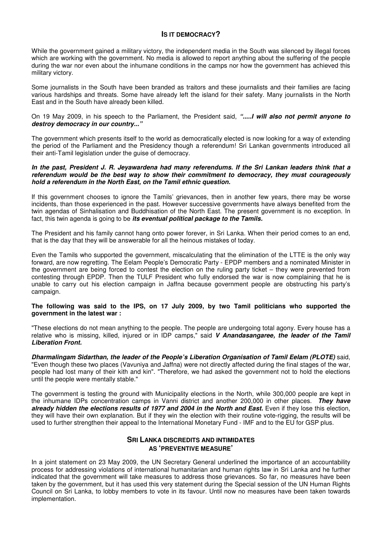## **IS IT DEMOCRACY?**

While the government gained a military victory, the independent media in the South was silenced by illegal forces which are working with the government. No media is allowed to report anything about the suffering of the people during the war nor even about the inhumane conditions in the camps nor how the government has achieved this military victory.

Some journalists in the South have been branded as traitors and these journalists and their families are facing various hardships and threats. Some have already left the island for their safety. Many journalists in the North East and in the South have already been killed.

On 19 May 2009, in his speech to the Parliament, the President said, **".....I will also not permit anyone to destroy democracy in our country..."** 

The government which presents itself to the world as democratically elected is now looking for a way of extending the period of the Parliament and the Presidency though a referendum! Sri Lankan governments introduced all their anti-Tamil legislation under the guise of democracy.

#### **In the past, President J. R. Jeyawardena had many referendums. If the Sri Lankan leaders think that a referendum would be the best way to show their commitment to democracy, they must courageously hold a referendum in the North East, on the Tamil ethnic question.**

If this government chooses to ignore the Tamils' grievances, then in another few years, there may be worse incidents, than those experienced in the past. However successive governments have always benefited from the twin agendas of Sinhalisation and Buddhisation of the North East. The present government is no exception. In fact, this twin agenda is going to be **its eventual political package to the Tamils.** 

The President and his family cannot hang onto power forever, in Sri Lanka. When their period comes to an end, that is the day that they will be answerable for all the heinous mistakes of today.

Even the Tamils who supported the government, miscalculating that the elimination of the LTTE is the only way forward, are now regretting. The Eelam People's Democratic Party - EPDP members and a nominated Minister in the government are being forced to contest the election on the ruling party ticket – they were prevented from contesting through EPDP. Then the TULF President who fully endorsed the war is now complaining that he is unable to carry out his election campaign in Jaffna because government people are obstructing his party's campaign.

#### **The following was said to the IPS, on 17 July 2009, by two Tamil politicians who supported the government in the latest war :**

"These elections do not mean anything to the people. The people are undergoing total agony. Every house has a relative who is missing, killed, injured or in IDP camps," said **V Anandasangaree, the leader of the Tamil Liberation Front.** 

**Dharmalingam Sidarthan, the leader of the People's Liberation Organisation of Tamil Eelam (PLOTE)** said, "Even though these two places (Vavuniya and Jaffna) were not directly affected during the final stages of the war, people had lost many of their kith and kin". "Therefore, we had asked the government not to hold the elections until the people were mentally stable."

The government is testing the ground with Municipality elections in the North, while 300,000 people are kept in the inhumane IDPs concentration camps in Vanni district and another 200,000 in other places. **They have already hidden the elections results of 1977 and 2004 in the North and East.** Even if they lose this election, they will have their own explanation. But if they win the election with their routine vote-rigging, the results will be used to further strengthen their appeal to the International Monetary Fund - IMF and to the EU for GSP plus.

# **SRI LANKA DISCREDITS AND INTIMIDATES AS 'PREVENTIVE MEASURE'**

In a joint statement on 23 May 2009, the UN Secretary General underlined the importance of an accountability process for addressing violations of international humanitarian and human rights law in Sri Lanka and he further indicated that the government will take measures to address those grievances. So far, no measures have been taken by the government, but it has used this very statement during the Special session of the UN Human Rights Council on Sri Lanka, to lobby members to vote in its favour. Until now no measures have been taken towards implementation.